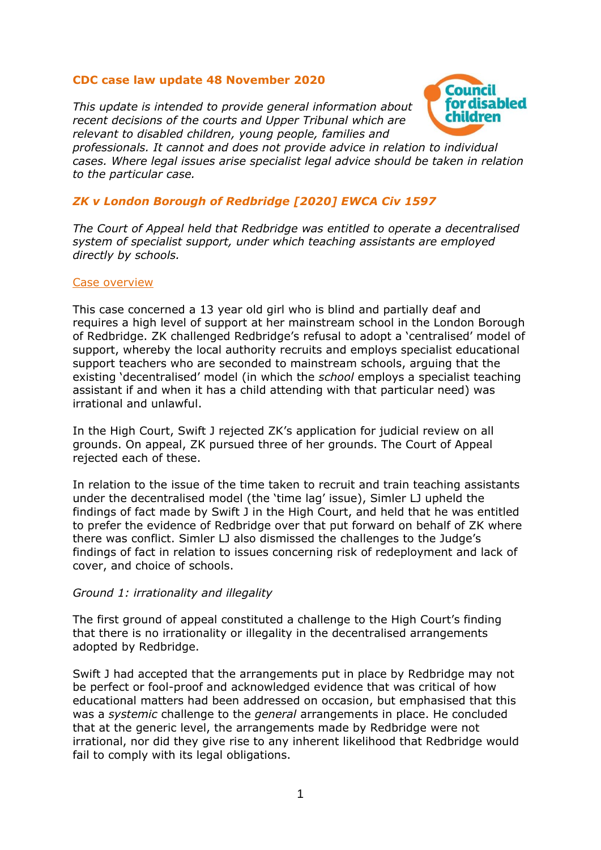# **CDC case law update 48 November 2020**

*This update is intended to provide general information about recent decisions of the courts and Upper Tribunal which are relevant to disabled children, young people, families and* 



*professionals. It cannot and does not provide advice in relation to individual cases. Where legal issues arise specialist legal advice should be taken in relation to the particular case.*

# *ZK v London Borough of Redbridge [2020] EWCA Civ 1597*

*The Court of Appeal held that Redbridge was entitled to operate a decentralised system of specialist support, under which teaching assistants are employed directly by schools.*

#### Case overview

This case concerned a 13 year old girl who is blind and partially deaf and requires a high level of support at her mainstream school in the London Borough of Redbridge. ZK challenged Redbridge's refusal to adopt a 'centralised' model of support, whereby the local authority recruits and employs specialist educational support teachers who are seconded to mainstream schools, arguing that the existing 'decentralised' model (in which the *school* employs a specialist teaching assistant if and when it has a child attending with that particular need) was irrational and unlawful.

In the High Court, Swift J rejected ZK's application for judicial review on all grounds. On appeal, ZK pursued three of her grounds. The Court of Appeal rejected each of these.

In relation to the issue of the time taken to recruit and train teaching assistants under the decentralised model (the 'time lag' issue), Simler LJ upheld the findings of fact made by Swift J in the High Court, and held that he was entitled to prefer the evidence of Redbridge over that put forward on behalf of ZK where there was conflict. Simler LJ also dismissed the challenges to the Judge's findings of fact in relation to issues concerning risk of redeployment and lack of cover, and choice of schools.

### *Ground 1: irrationality and illegality*

The first ground of appeal constituted a challenge to the High Court's finding that there is no irrationality or illegality in the decentralised arrangements adopted by Redbridge.

Swift J had accepted that the arrangements put in place by Redbridge may not be perfect or fool-proof and acknowledged evidence that was critical of how educational matters had been addressed on occasion, but emphasised that this was a *systemic* challenge to the *general* arrangements in place. He concluded that at the generic level, the arrangements made by Redbridge were not irrational, nor did they give rise to any inherent likelihood that Redbridge would fail to comply with its legal obligations.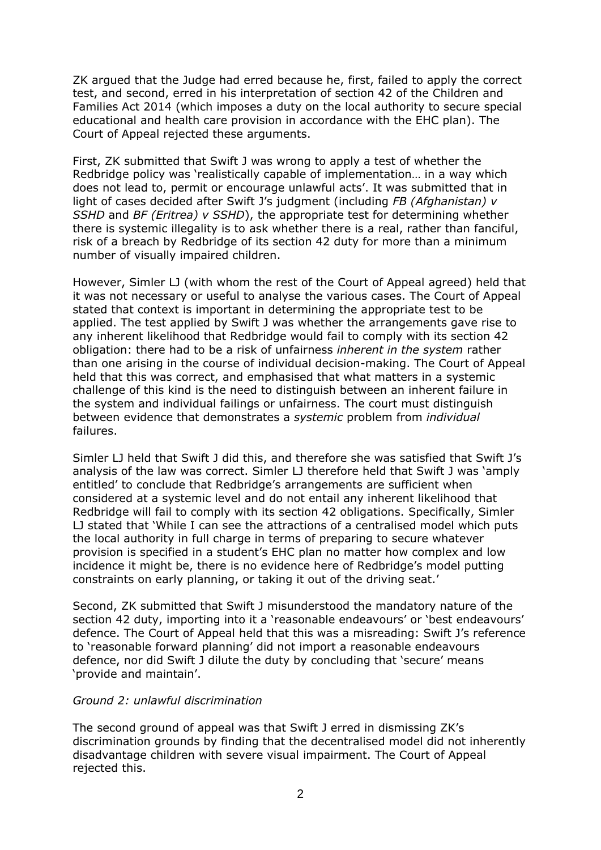ZK argued that the Judge had erred because he, first, failed to apply the correct test, and second, erred in his interpretation of section 42 of the Children and Families Act 2014 (which imposes a duty on the local authority to secure special educational and health care provision in accordance with the EHC plan). The Court of Appeal rejected these arguments.

First, ZK submitted that Swift J was wrong to apply a test of whether the Redbridge policy was 'realistically capable of implementation… in a way which does not lead to, permit or encourage unlawful acts'. It was submitted that in light of cases decided after Swift J's judgment (including *FB (Afghanistan) v SSHD* and *BF (Eritrea) v SSHD*), the appropriate test for determining whether there is systemic illegality is to ask whether there is a real, rather than fanciful, risk of a breach by Redbridge of its section 42 duty for more than a minimum number of visually impaired children.

However, Simler LJ (with whom the rest of the Court of Appeal agreed) held that it was not necessary or useful to analyse the various cases. The Court of Appeal stated that context is important in determining the appropriate test to be applied. The test applied by Swift J was whether the arrangements gave rise to any inherent likelihood that Redbridge would fail to comply with its section 42 obligation: there had to be a risk of unfairness *inherent in the system* rather than one arising in the course of individual decision-making. The Court of Appeal held that this was correct, and emphasised that what matters in a systemic challenge of this kind is the need to distinguish between an inherent failure in the system and individual failings or unfairness. The court must distinguish between evidence that demonstrates a *systemic* problem from *individual* failures.

Simler LJ held that Swift J did this, and therefore she was satisfied that Swift J's analysis of the law was correct. Simler LJ therefore held that Swift J was 'amply entitled' to conclude that Redbridge's arrangements are sufficient when considered at a systemic level and do not entail any inherent likelihood that Redbridge will fail to comply with its section 42 obligations. Specifically, Simler LJ stated that 'While I can see the attractions of a centralised model which puts the local authority in full charge in terms of preparing to secure whatever provision is specified in a student's EHC plan no matter how complex and low incidence it might be, there is no evidence here of Redbridge's model putting constraints on early planning, or taking it out of the driving seat.'

Second, ZK submitted that Swift J misunderstood the mandatory nature of the section 42 duty, importing into it a 'reasonable endeavours' or 'best endeavours' defence. The Court of Appeal held that this was a misreading: Swift J's reference to 'reasonable forward planning' did not import a reasonable endeavours defence, nor did Swift J dilute the duty by concluding that 'secure' means 'provide and maintain'.

### *Ground 2: unlawful discrimination*

The second ground of appeal was that Swift J erred in dismissing ZK's discrimination grounds by finding that the decentralised model did not inherently disadvantage children with severe visual impairment. The Court of Appeal rejected this.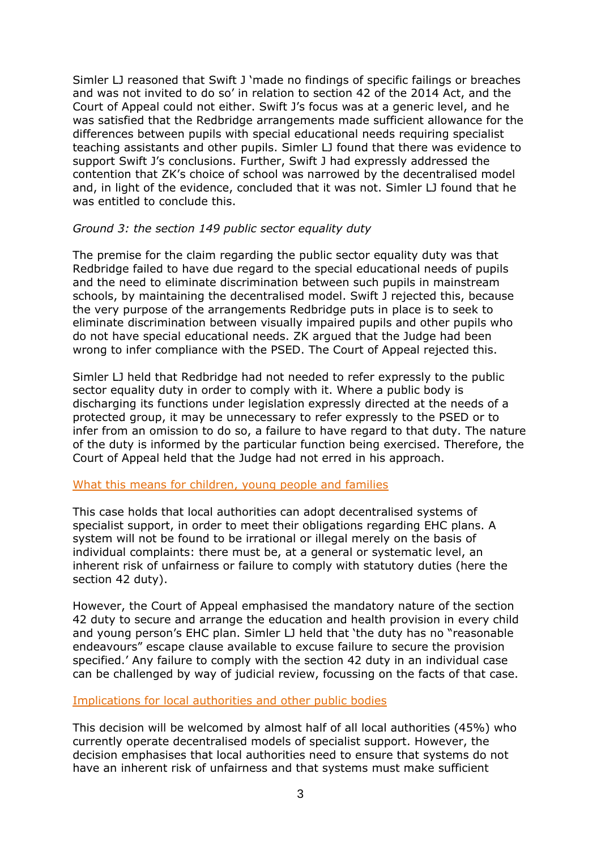Simler LJ reasoned that Swift J 'made no findings of specific failings or breaches and was not invited to do so' in relation to section 42 of the 2014 Act, and the Court of Appeal could not either. Swift J's focus was at a generic level, and he was satisfied that the Redbridge arrangements made sufficient allowance for the differences between pupils with special educational needs requiring specialist teaching assistants and other pupils. Simler LJ found that there was evidence to support Swift J's conclusions. Further, Swift J had expressly addressed the contention that ZK's choice of school was narrowed by the decentralised model and, in light of the evidence, concluded that it was not. Simler LJ found that he was entitled to conclude this.

### *Ground 3: the section 149 public sector equality duty*

The premise for the claim regarding the public sector equality duty was that Redbridge failed to have due regard to the special educational needs of pupils and the need to eliminate discrimination between such pupils in mainstream schools, by maintaining the decentralised model. Swift J rejected this, because the very purpose of the arrangements Redbridge puts in place is to seek to eliminate discrimination between visually impaired pupils and other pupils who do not have special educational needs. ZK argued that the Judge had been wrong to infer compliance with the PSED. The Court of Appeal rejected this.

Simler LJ held that Redbridge had not needed to refer expressly to the public sector equality duty in order to comply with it. Where a public body is discharging its functions under legislation expressly directed at the needs of a protected group, it may be unnecessary to refer expressly to the PSED or to infer from an omission to do so, a failure to have regard to that duty. The nature of the duty is informed by the particular function being exercised. Therefore, the Court of Appeal held that the Judge had not erred in his approach.

### What this means for children, young people and families

This case holds that local authorities can adopt decentralised systems of specialist support, in order to meet their obligations regarding EHC plans. A system will not be found to be irrational or illegal merely on the basis of individual complaints: there must be, at a general or systematic level, an inherent risk of unfairness or failure to comply with statutory duties (here the section 42 duty).

However, the Court of Appeal emphasised the mandatory nature of the section 42 duty to secure and arrange the education and health provision in every child and young person's EHC plan. Simler LJ held that 'the duty has no "reasonable endeavours" escape clause available to excuse failure to secure the provision specified.' Any failure to comply with the section 42 duty in an individual case can be challenged by way of judicial review, focussing on the facts of that case.

### Implications for local authorities and other public bodies

This decision will be welcomed by almost half of all local authorities (45%) who currently operate decentralised models of specialist support. However, the decision emphasises that local authorities need to ensure that systems do not have an inherent risk of unfairness and that systems must make sufficient